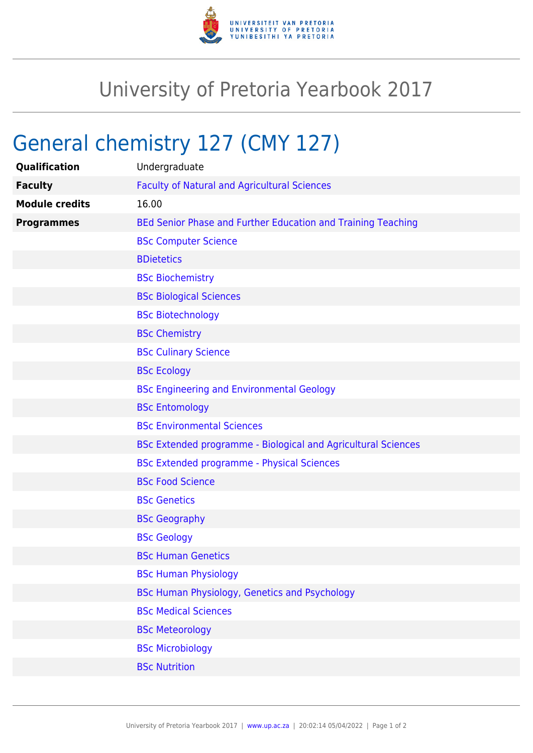

## University of Pretoria Yearbook 2017

## General chemistry 127 (CMY 127)

| Qualification         | Undergraduate                                                 |
|-----------------------|---------------------------------------------------------------|
| <b>Faculty</b>        | <b>Faculty of Natural and Agricultural Sciences</b>           |
| <b>Module credits</b> | 16.00                                                         |
| <b>Programmes</b>     | BEd Senior Phase and Further Education and Training Teaching  |
|                       | <b>BSc Computer Science</b>                                   |
|                       | <b>BDietetics</b>                                             |
|                       | <b>BSc Biochemistry</b>                                       |
|                       | <b>BSc Biological Sciences</b>                                |
|                       | <b>BSc Biotechnology</b>                                      |
|                       | <b>BSc Chemistry</b>                                          |
|                       | <b>BSc Culinary Science</b>                                   |
|                       | <b>BSc Ecology</b>                                            |
|                       | <b>BSc Engineering and Environmental Geology</b>              |
|                       | <b>BSc Entomology</b>                                         |
|                       | <b>BSc Environmental Sciences</b>                             |
|                       | BSc Extended programme - Biological and Agricultural Sciences |
|                       | <b>BSc Extended programme - Physical Sciences</b>             |
|                       | <b>BSc Food Science</b>                                       |
|                       | <b>BSc Genetics</b>                                           |
|                       | <b>BSc Geography</b>                                          |
|                       | <b>BSc Geology</b>                                            |
|                       | <b>BSc Human Genetics</b>                                     |
|                       | <b>BSc Human Physiology</b>                                   |
|                       | BSc Human Physiology, Genetics and Psychology                 |
|                       | <b>BSc Medical Sciences</b>                                   |
|                       | <b>BSc Meteorology</b>                                        |
|                       | <b>BSc Microbiology</b>                                       |
|                       | <b>BSc Nutrition</b>                                          |
|                       |                                                               |